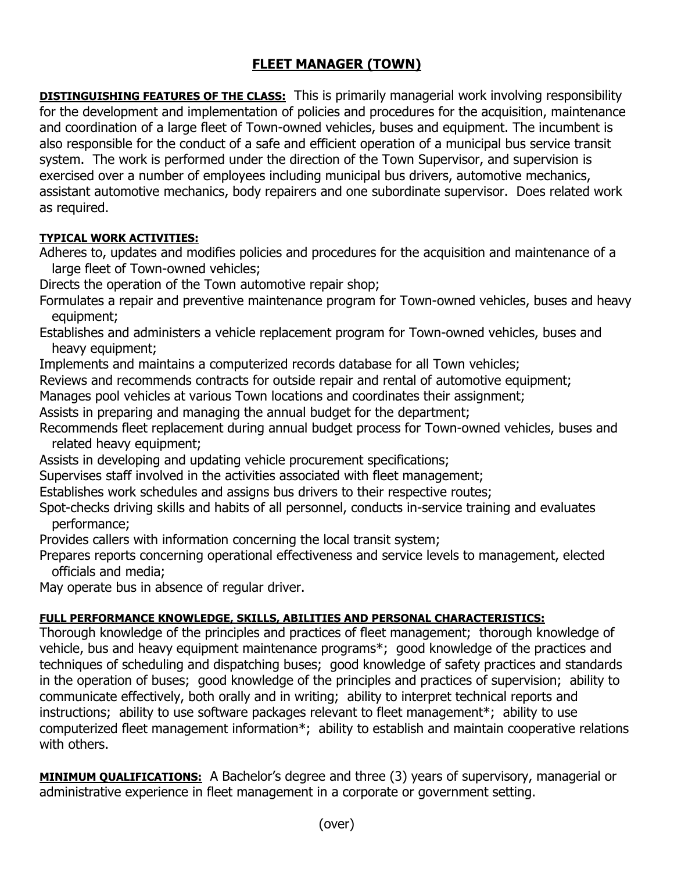## **FLEET MANAGER (TOWN)**

**DISTINGUISHING FEATURES OF THE CLASS:** This is primarily managerial work involving responsibility for the development and implementation of policies and procedures for the acquisition, maintenance and coordination of a large fleet of Town-owned vehicles, buses and equipment. The incumbent is also responsible for the conduct of a safe and efficient operation of a municipal bus service transit system. The work is performed under the direction of the Town Supervisor, and supervision is exercised over a number of employees including municipal bus drivers, automotive mechanics, assistant automotive mechanics, body repairers and one subordinate supervisor. Does related work as required.

## **TYPICAL WORK ACTIVITIES:**

Adheres to, updates and modifies policies and procedures for the acquisition and maintenance of a large fleet of Town-owned vehicles;

Directs the operation of the Town automotive repair shop;

Formulates a repair and preventive maintenance program for Town-owned vehicles, buses and heavy equipment;

Establishes and administers a vehicle replacement program for Town-owned vehicles, buses and heavy equipment;

Implements and maintains a computerized records database for all Town vehicles;

Reviews and recommends contracts for outside repair and rental of automotive equipment;

Manages pool vehicles at various Town locations and coordinates their assignment;

Assists in preparing and managing the annual budget for the department;

Recommends fleet replacement during annual budget process for Town-owned vehicles, buses and related heavy equipment;

Assists in developing and updating vehicle procurement specifications;

Supervises staff involved in the activities associated with fleet management;

Establishes work schedules and assigns bus drivers to their respective routes;

Spot-checks driving skills and habits of all personnel, conducts in-service training and evaluates performance;

Provides callers with information concerning the local transit system;

Prepares reports concerning operational effectiveness and service levels to management, elected officials and media;

May operate bus in absence of regular driver.

## **FULL PERFORMANCE KNOWLEDGE, SKILLS, ABILITIES AND PERSONAL CHARACTERISTICS:**

Thorough knowledge of the principles and practices of fleet management; thorough knowledge of vehicle, bus and heavy equipment maintenance programs\*; good knowledge of the practices and techniques of scheduling and dispatching buses; good knowledge of safety practices and standards in the operation of buses; good knowledge of the principles and practices of supervision; ability to communicate effectively, both orally and in writing; ability to interpret technical reports and instructions; ability to use software packages relevant to fleet management\*; ability to use computerized fleet management information\*; ability to establish and maintain cooperative relations with others.

**MINIMUM QUALIFICATIONS:** A Bachelor's degree and three (3) years of supervisory, managerial or administrative experience in fleet management in a corporate or government setting.